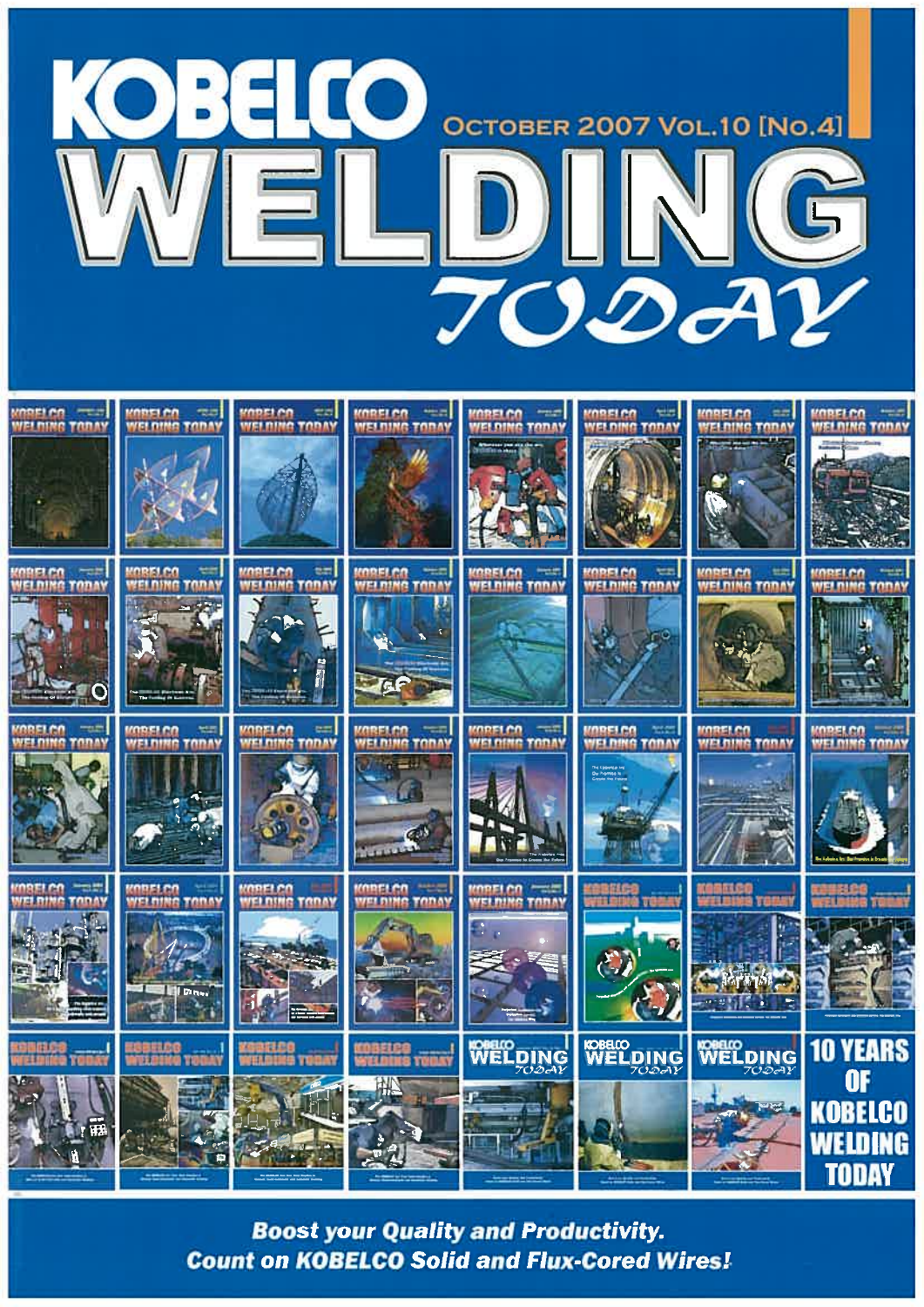



**Boost your Quality and Productivity. Count on KOBELCO Solid and Flux-Cored Wires!**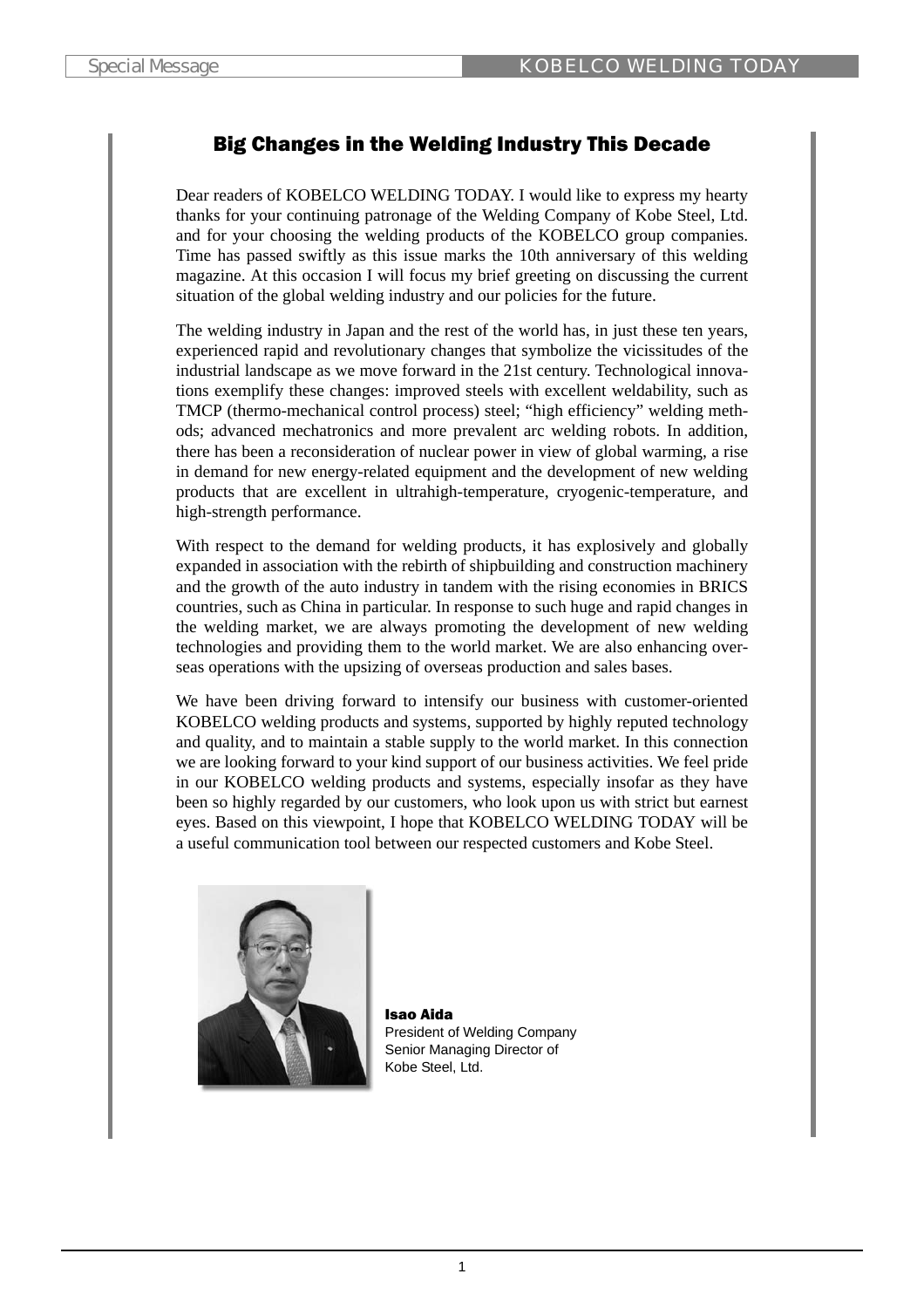# Big Changes in the Welding Industry This Decade

Dear readers of KOBELCO WELDING TODAY. I would like to express my hearty thanks for your continuing patronage of the Welding Company of Kobe Steel, Ltd. and for your choosing the welding products of the KOBELCO group companies. Time has passed swiftly as this issue marks the 10th anniversary of this welding magazine. At this occasion I will focus my brief greeting on discussing the current situation of the global welding industry and our policies for the future.

The welding industry in Japan and the rest of the world has, in just these ten years, experienced rapid and revolutionary changes that symbolize the vicissitudes of the industrial landscape as we move forward in the 21st century. Technological innovations exemplify these changes: improved steels with excellent weldability, such as TMCP (thermo-mechanical control process) steel; "high efficiency" welding methods; advanced mechatronics and more prevalent arc welding robots. In addition, there has been a reconsideration of nuclear power in view of global warming, a rise in demand for new energy-related equipment and the development of new welding products that are excellent in ultrahigh-temperature, cryogenic-temperature, and high-strength performance.

With respect to the demand for welding products, it has explosively and globally expanded in association with the rebirth of shipbuilding and construction machinery and the growth of the auto industry in tandem with the rising economies in BRICS countries, such as China in particular. In response to such huge and rapid changes in the welding market, we are always promoting the development of new welding technologies and providing them to the world market. We are also enhancing overseas operations with the upsizing of overseas production and sales bases.

We have been driving forward to intensify our business with customer-oriented KOBELCO welding products and systems, supported by highly reputed technology and quality, and to maintain a stable supply to the world market. In this connection we are looking forward to your kind support of our business activities. We feel pride in our KOBELCO welding products and systems, especially insofar as they have been so highly regarded by our customers, who look upon us with strict but earnest eyes. Based on this viewpoint, I hope that KOBELCO WELDING TODAY will be a useful communication tool between our respected customers and Kobe Steel.



Isao Aida President of Welding Company Senior Managing Director of Kobe Steel, Ltd.

1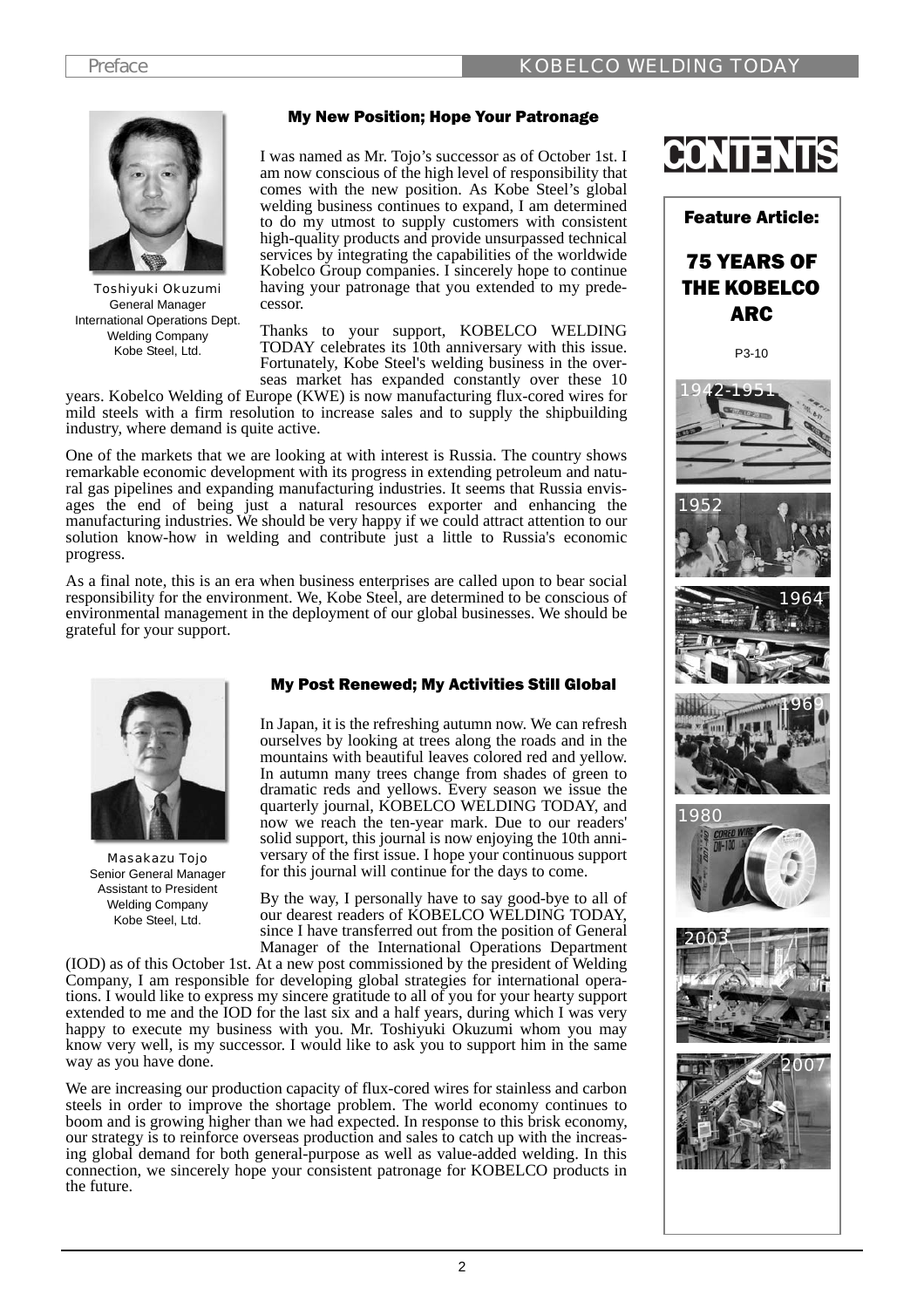## My New Position; Hope Your Patronage



Toshiyuki Okuzumi General Manager International Operations Dept. Welding Company Kobe Steel, Ltd.

I was named as Mr. Tojo's successor as of October 1st. I am now conscious of the high level of responsibility that comes with the new position. As Kobe Steel's global welding business continues to expand, I am determined to do my utmost to supply customers with consistent high-quality products and provide unsurpassed technical services by integrating the capabilities of the worldwide Kobelco Group companies. I sincerely hope to continue having your patronage that you extended to my predecessor.

Thanks to your support, KOBELCO WELDING TODAY celebrates its 10th anniversary with this issue. Fortunately, Kobe Steel's welding business in the overseas market has expanded constantly over these 10

years. Kobelco Welding of Europe (KWE) is now manufacturing flux-cored wires for mild steels with a firm resolution to increase sales and to supply the shipbuilding industry, where demand is quite active.

One of the markets that we are looking at with interest is Russia. The country shows remarkable economic development with its progress in extending petroleum and natural gas pipelines and expanding manufacturing industries. It seems that Russia envisages the end of being just a natural resources exporter and enhancing the manufacturing industries. We should be very happy if we could attract attention to our solution know-how in welding and contribute just a little to Russia's economic progress.

As a final note, this is an era when business enterprises are called upon to bear social responsibility for the environment. We, Kobe Steel, are determined to be conscious of environmental management in the deployment of our global businesses. We should be grateful for your support.



Masakazu Tojo Senior General Manager Assistant to President Welding Company Kobe Steel, Ltd.

### My Post Renewed; My Activities Still Global

In Japan, it is the refreshing autumn now. We can refresh ourselves by looking at trees along the roads and in the mountains with beautiful leaves colored red and yellow. In autumn many trees change from shades of green to dramatic reds and yellows. Every season we issue the quarterly journal, KOBELCO WELDING TODAY, and now we reach the ten-year mark. Due to our readers' solid support, this journal is now enjoying the 10th anniversary of the first issue. I hope your continuous support for this journal will continue for the days to come.

By the way, I personally have to say good-bye to all of our dearest readers of KOBELCO WELDING TODAY, since I have transferred out from the position of General Manager of the International Operations Department

(IOD) as of this October 1st. At a new post commissioned by the president of Welding Company, I am responsible for developing global strategies for international operations. I would like to express my sincere gratitude to all of you for your hearty support extended to me and the IOD for the last six and a half years, during which I was very happy to execute my business with you. Mr. Toshiyuki Okuzumi whom you may know very well, is my successor. I would like to ask you to support him in the same way as you have done.

We are increasing our production capacity of flux-cored wires for stainless and carbon steels in order to improve the shortage problem. The world economy continues to boom and is growing higher than we had expected. In response to this brisk economy, our strategy is to reinforce overseas production and sales to catch up with the increasing global demand for both general-purpose as well as value-added welding. In this connection, we sincerely hope your consistent patronage for KOBELCO products in the future.



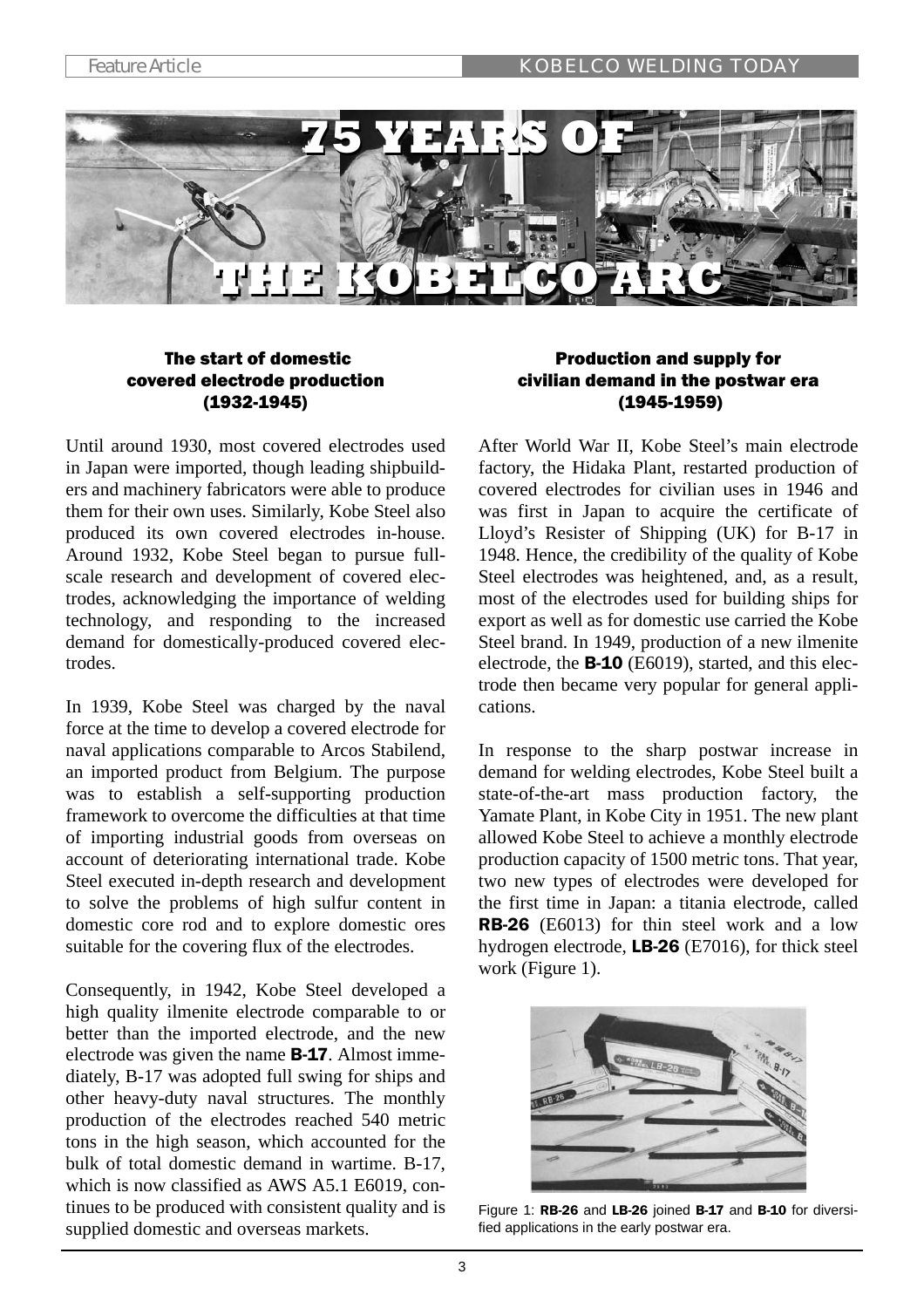

# The start of domestic covered electrode production (1932-1945)

Until around 1930, most covered electrodes used in Japan were imported, though leading shipbuilders and machinery fabricators were able to produce them for their own uses. Similarly, Kobe Steel also produced its own covered electrodes in-house. Around 1932, Kobe Steel began to pursue fullscale research and development of covered electrodes, acknowledging the importance of welding technology, and responding to the increased demand for domestically-produced covered electrodes.

In 1939, Kobe Steel was charged by the naval force at the time to develop a covered electrode for naval applications comparable to Arcos Stabilend, an imported product from Belgium. The purpose was to establish a self-supporting production framework to overcome the difficulties at that time of importing industrial goods from overseas on account of deteriorating international trade. Kobe Steel executed in-depth research and development to solve the problems of high sulfur content in domestic core rod and to explore domestic ores suitable for the covering flux of the electrodes.

Consequently, in 1942, Kobe Steel developed a high quality ilmenite electrode comparable to or better than the imported electrode, and the new electrode was given the name B-17. Almost immediately, B-17 was adopted full swing for ships and other heavy-duty naval structures. The monthly production of the electrodes reached 540 metric tons in the high season, which accounted for the bulk of total domestic demand in wartime. B-17, which is now classified as AWS A5.1 E6019, continues to be produced with consistent quality and is supplied domestic and overseas markets.

# Production and supply for civilian demand in the postwar era (1945-1959)

After World War II, Kobe Steel's main electrode factory, the Hidaka Plant, restarted production of covered electrodes for civilian uses in 1946 and was first in Japan to acquire the certificate of Lloyd's Resister of Shipping (UK) for B-17 in 1948. Hence, the credibility of the quality of Kobe Steel electrodes was heightened, and, as a result, most of the electrodes used for building ships for export as well as for domestic use carried the Kobe Steel brand. In 1949, production of a new ilmenite electrode, the B-10 (E6019), started, and this electrode then became very popular for general applications.

In response to the sharp postwar increase in demand for welding electrodes, Kobe Steel built a state-of-the-art mass production factory, the Yamate Plant, in Kobe City in 1951. The new plant allowed Kobe Steel to achieve a monthly electrode production capacity of 1500 metric tons. That year, two new types of electrodes were developed for the first time in Japan: a titania electrode, called RB-26 (E6013) for thin steel work and a low hydrogen electrode, LB-26 (E7016), for thick steel work (Figure 1).



Figure 1: RB-26 and LB-26 joined B-17 and B-10 for diversified applications in the early postwar era.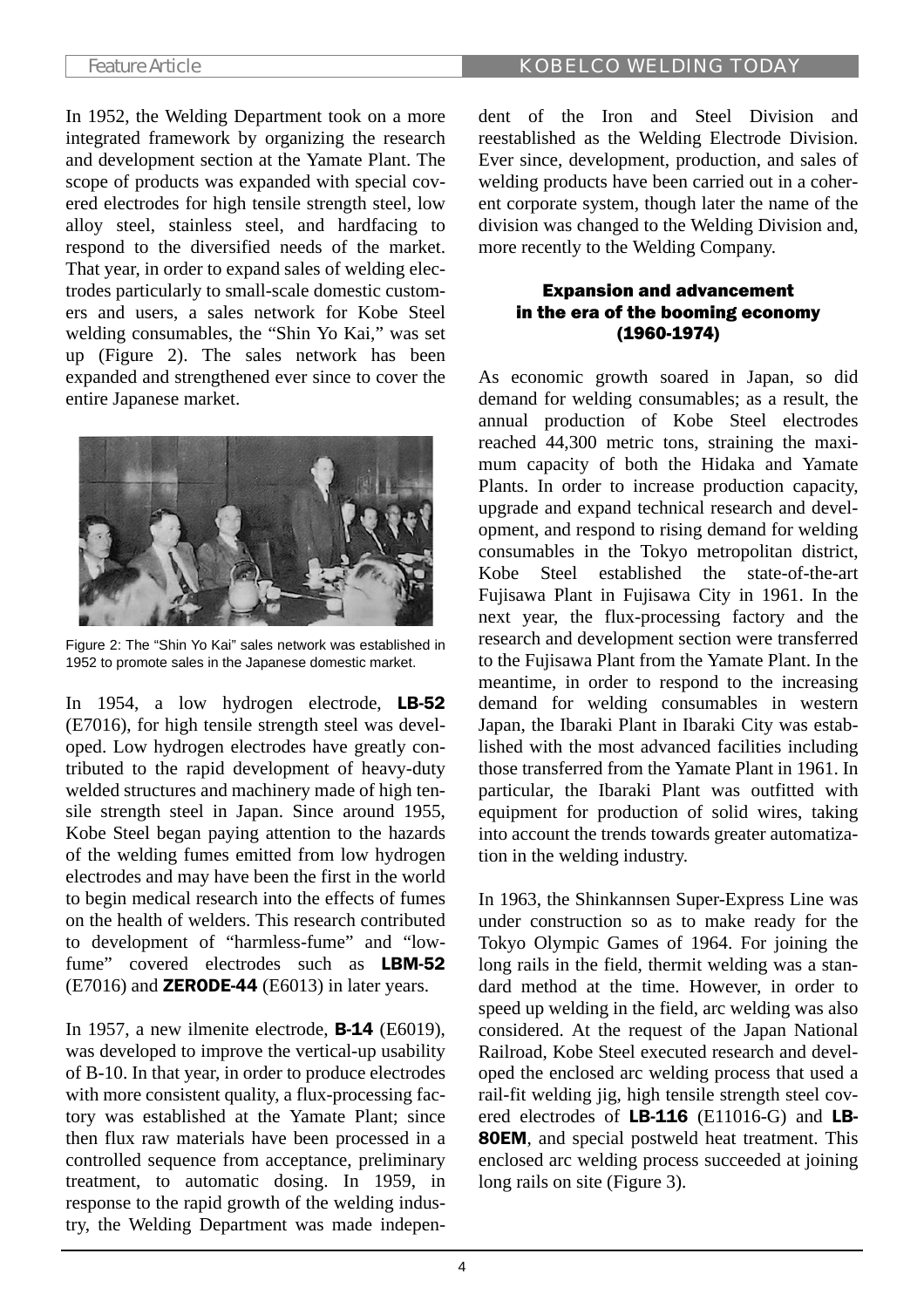In 1952, the Welding Department took on a more integrated framework by organizing the research and development section at the Yamate Plant. The scope of products was expanded with special covered electrodes for high tensile strength steel, low alloy steel, stainless steel, and hardfacing to respond to the diversified needs of the market. That year, in order to expand sales of welding electrodes particularly to small-scale domestic customers and users, a sales network for Kobe Steel welding consumables, the "Shin Yo Kai," was set up (Figure 2). The sales network has been expanded and strengthened ever since to cover the entire Japanese market.



Figure 2: The "Shin Yo Kai" sales network was established in 1952 to promote sales in the Japanese domestic market.

In 1954, a low hydrogen electrode, LB-52 (E7016), for high tensile strength steel was developed. Low hydrogen electrodes have greatly contributed to the rapid development of heavy-duty welded structures and machinery made of high tensile strength steel in Japan. Since around 1955, Kobe Steel began paying attention to the hazards of the welding fumes emitted from low hydrogen electrodes and may have been the first in the world to begin medical research into the effects of fumes on the health of welders. This research contributed to development of "harmless-fume" and "lowfume" covered electrodes such as LBM-52  $(E7016)$  and **ZERODE-44**  $(E6013)$  in later years.

In 1957, a new ilmenite electrode, B-14 (E6019), was developed to improve the vertical-up usability of B-10. In that year, in order to produce electrodes with more consistent quality, a flux-processing factory was established at the Yamate Plant; since then flux raw materials have been processed in a controlled sequence from acceptance, preliminary treatment, to automatic dosing. In 1959, in response to the rapid growth of the welding industry, the Welding Department was made independent of the Iron and Steel Division and reestablished as the Welding Electrode Division. Ever since, development, production, and sales of welding products have been carried out in a coherent corporate system, though later the name of the division was changed to the Welding Division and, more recently to the Welding Company.

# Expansion and advancement in the era of the booming economy (1960-1974)

As economic growth soared in Japan, so did demand for welding consumables; as a result, the annual production of Kobe Steel electrodes reached 44,300 metric tons, straining the maximum capacity of both the Hidaka and Yamate Plants. In order to increase production capacity, upgrade and expand technical research and development, and respond to rising demand for welding consumables in the Tokyo metropolitan district, Kobe Steel established the state-of-the-art Fujisawa Plant in Fujisawa City in 1961. In the next year, the flux-processing factory and the research and development section were transferred to the Fujisawa Plant from the Yamate Plant. In the meantime, in order to respond to the increasing demand for welding consumables in western Japan, the Ibaraki Plant in Ibaraki City was established with the most advanced facilities including those transferred from the Yamate Plant in 1961. In particular, the Ibaraki Plant was outfitted with equipment for production of solid wires, taking into account the trends towards greater automatization in the welding industry.

In 1963, the Shinkannsen Super-Express Line was under construction so as to make ready for the Tokyo Olympic Games of 1964. For joining the long rails in the field, thermit welding was a standard method at the time. However, in order to speed up welding in the field, arc welding was also considered. At the request of the Japan National Railroad, Kobe Steel executed research and developed the enclosed arc welding process that used a rail-fit welding jig, high tensile strength steel covered electrodes of LB-116 (E11016-G) and LB-80EM, and special postweld heat treatment. This enclosed arc welding process succeeded at joining long rails on site (Figure 3).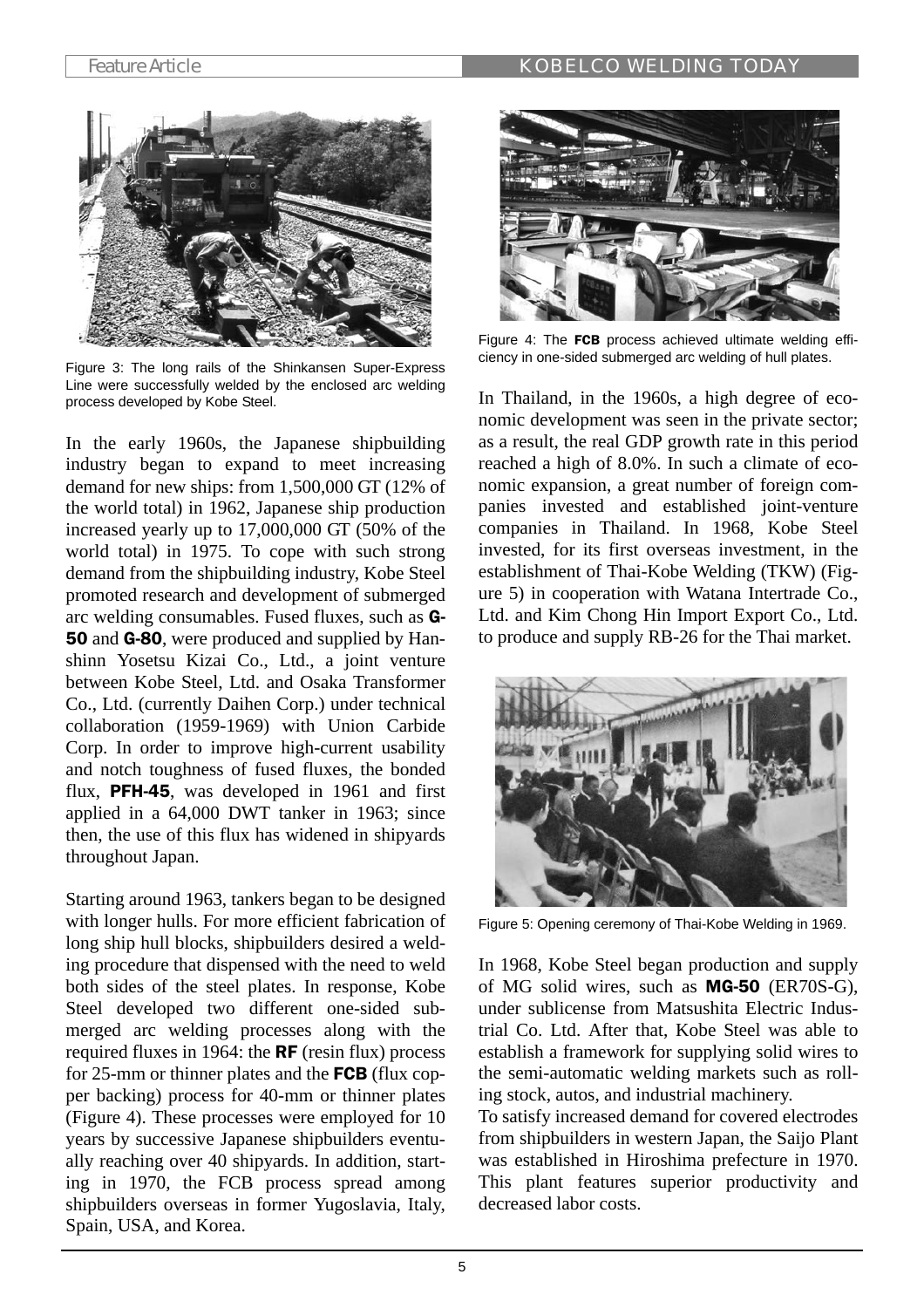

Figure 3: The long rails of the Shinkansen Super-Express Line were successfully welded by the enclosed arc welding process developed by Kobe Steel.

In the early 1960s, the Japanese shipbuilding industry began to expand to meet increasing demand for new ships: from 1,500,000 GT (12% of the world total) in 1962, Japanese ship production increased yearly up to 17,000,000 GT (50% of the world total) in 1975. To cope with such strong demand from the shipbuilding industry, Kobe Steel promoted research and development of submerged arc welding consumables. Fused fluxes, such as G-50 and G-80, were produced and supplied by Hanshinn Yosetsu Kizai Co., Ltd., a joint venture between Kobe Steel, Ltd. and Osaka Transformer Co., Ltd. (currently Daihen Corp.) under technical collaboration (1959-1969) with Union Carbide Corp. In order to improve high-current usability and notch toughness of fused fluxes, the bonded flux, PFH-45, was developed in 1961 and first applied in a 64,000 DWT tanker in 1963; since then, the use of this flux has widened in shipyards throughout Japan.

Starting around 1963, tankers began to be designed with longer hulls. For more efficient fabrication of long ship hull blocks, shipbuilders desired a welding procedure that dispensed with the need to weld both sides of the steel plates. In response, Kobe Steel developed two different one-sided submerged arc welding processes along with the required fluxes in 1964: the RF (resin flux) process for 25-mm or thinner plates and the FCB (flux copper backing) process for 40-mm or thinner plates (Figure 4). These processes were employed for 10 years by successive Japanese shipbuilders eventually reaching over 40 shipyards. In addition, starting in 1970, the FCB process spread among shipbuilders overseas in former Yugoslavia, Italy, Spain, USA, and Korea.



Figure 4: The FCB process achieved ultimate welding efficiency in one-sided submerged arc welding of hull plates.

In Thailand, in the 1960s, a high degree of economic development was seen in the private sector; as a result, the real GDP growth rate in this period reached a high of 8.0%. In such a climate of economic expansion, a great number of foreign companies invested and established joint-venture companies in Thailand. In 1968, Kobe Steel invested, for its first overseas investment, in the establishment of Thai-Kobe Welding (TKW) (Figure 5) in cooperation with Watana Intertrade Co., Ltd. and Kim Chong Hin Import Export Co., Ltd. to produce and supply RB-26 for the Thai market.



Figure 5: Opening ceremony of Thai-Kobe Welding in 1969.

In 1968, Kobe Steel began production and supply of MG solid wires, such as MG-50 (ER70S-G), under sublicense from Matsushita Electric Industrial Co. Ltd. After that, Kobe Steel was able to establish a framework for supplying solid wires to the semi-automatic welding markets such as rolling stock, autos, and industrial machinery.

To satisfy increased demand for covered electrodes from shipbuilders in western Japan, the Saijo Plant was established in Hiroshima prefecture in 1970. This plant features superior productivity and decreased labor costs.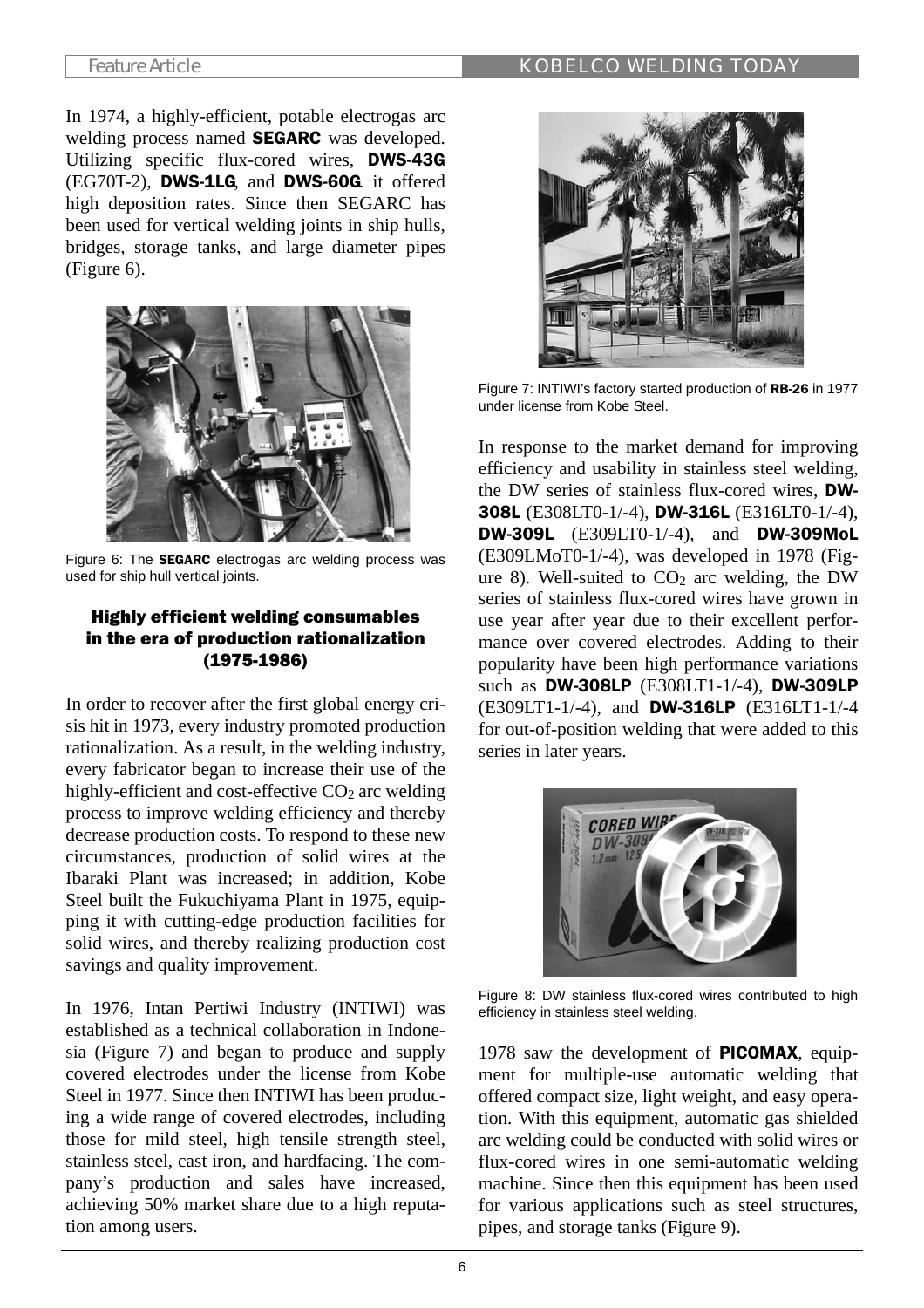In 1974, a highly-efficient, potable electrogas arc welding process named SEGARC was developed. Utilizing specific flux-cored wires, DWS-43G (EG70T-2), DWS-1LG, and DWS-60G. it offered high deposition rates. Since then SEGARC has been used for vertical welding joints in ship hulls, bridges, storage tanks, and large diameter pipes (Figure 6).



Figure 6: The **SEGARC** electrogas arc welding process was used for ship hull vertical joints.

# Highly efficient welding consumables in the era of production rationalization (1975-1986)

In order to recover after the first global energy crisis hit in 1973, every industry promoted production rationalization. As a result, in the welding industry, every fabricator began to increase their use of the highly-efficient and cost-effective  $CO<sub>2</sub>$  arc welding process to improve welding efficiency and thereby decrease production costs. To respond to these new circumstances, production of solid wires at the Ibaraki Plant was increased; in addition, Kobe Steel built the Fukuchiyama Plant in 1975, equipping it with cutting-edge production facilities for solid wires, and thereby realizing production cost savings and quality improvement.

In 1976, Intan Pertiwi Industry (INTIWI) was established as a technical collaboration in Indonesia (Figure 7) and began to produce and supply covered electrodes under the license from Kobe Steel in 1977. Since then INTIWI has been producing a wide range of covered electrodes, including those for mild steel, high tensile strength steel, stainless steel, cast iron, and hardfacing. The company's production and sales have increased, achieving 50% market share due to a high reputation among users.



Figure 7: INTIWI's factory started production of RB-26 in 1977 under license from Kobe Steel.

In response to the market demand for improving efficiency and usability in stainless steel welding, the DW series of stainless flux-cored wires, DW-308L (E308LT0-1/-4), DW-316L (E316LT0-1/-4), DW-309L (E309LT0-1/-4), and DW-309MoL (E309LMoT0-1/-4), was developed in 1978 (Figure 8). Well-suited to  $CO<sub>2</sub>$  arc welding, the DW series of stainless flux-cored wires have grown in use year after year due to their excellent performance over covered electrodes. Adding to their popularity have been high performance variations such as DW-308LP (E308LT1-1/-4), DW-309LP (E309LT1-1/-4), and DW-316LP (E316LT1-1/-4 for out-of-position welding that were added to this series in later years.



Figure 8: DW stainless flux-cored wires contributed to high efficiency in stainless steel welding.

1978 saw the development of PICOMAX, equipment for multiple-use automatic welding that offered compact size, light weight, and easy operation. With this equipment, automatic gas shielded arc welding could be conducted with solid wires or flux-cored wires in one semi-automatic welding machine. Since then this equipment has been used for various applications such as steel structures, pipes, and storage tanks (Figure 9).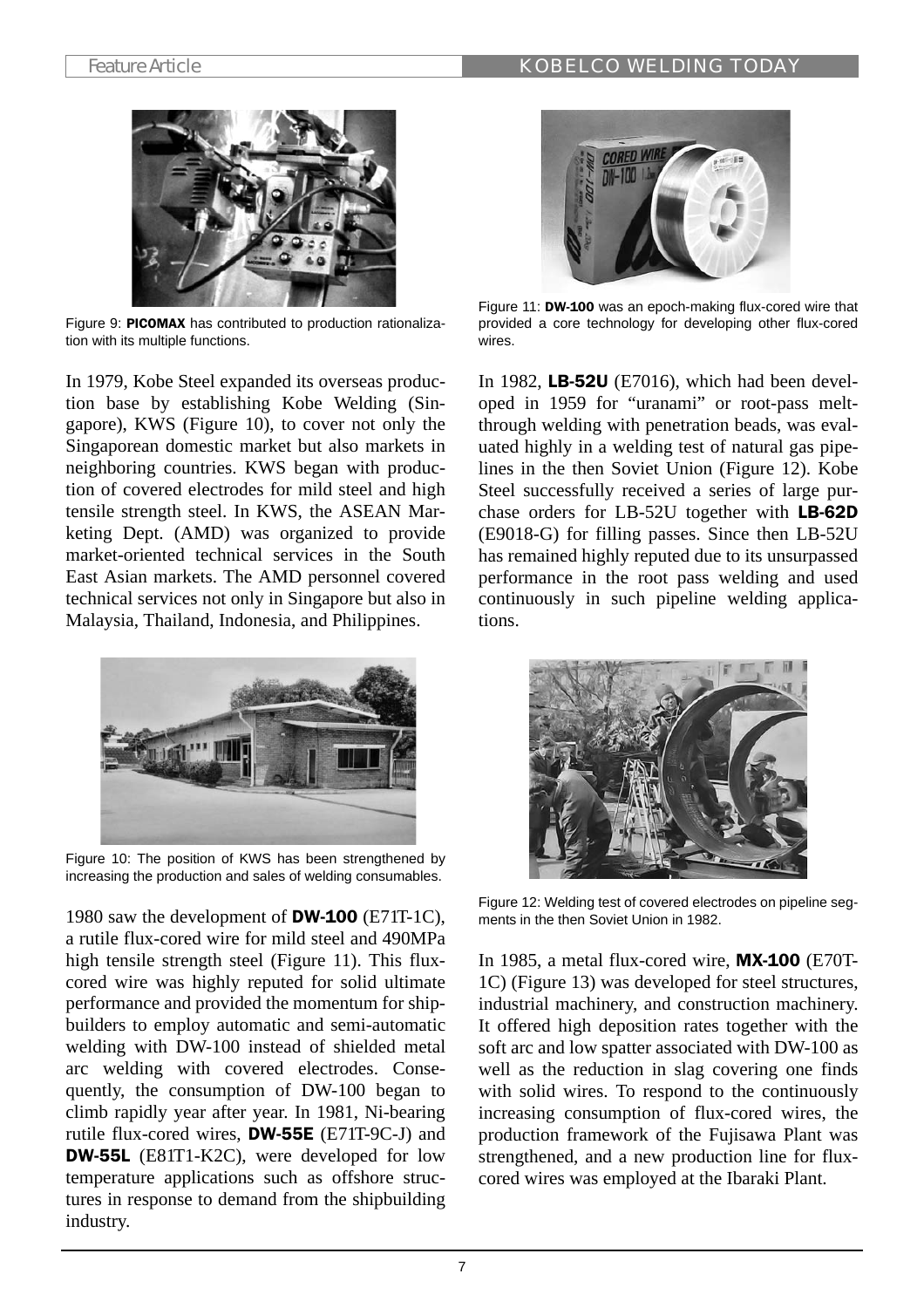

Figure 9: PICOMAX has contributed to production rationalization with its multiple functions.

In 1979, Kobe Steel expanded its overseas production base by establishing Kobe Welding (Singapore), KWS (Figure 10), to cover not only the Singaporean domestic market but also markets in neighboring countries. KWS began with production of covered electrodes for mild steel and high tensile strength steel. In KWS, the ASEAN Marketing Dept. (AMD) was organized to provide market-oriented technical services in the South East Asian markets. The AMD personnel covered technical services not only in Singapore but also in Malaysia, Thailand, Indonesia, and Philippines.



Figure 10: The position of KWS has been strengthened by increasing the production and sales of welding consumables.

1980 saw the development of DW-100 (E71T-1C), a rutile flux-cored wire for mild steel and 490MPa high tensile strength steel (Figure 11). This fluxcored wire was highly reputed for solid ultimate performance and provided the momentum for shipbuilders to employ automatic and semi-automatic welding with DW-100 instead of shielded metal arc welding with covered electrodes. Consequently, the consumption of DW-100 began to climb rapidly year after year. In 1981, Ni-bearing rutile flux-cored wires, DW-55E (E71T-9C-J) and DW-55L (E81T1-K2C), were developed for low temperature applications such as offshore structures in response to demand from the shipbuilding industry.



Figure 11: DW-100 was an epoch-making flux-cored wire that provided a core technology for developing other flux-cored wires.

In 1982, LB-52U (E7016), which had been developed in 1959 for "uranami" or root-pass meltthrough welding with penetration beads, was evaluated highly in a welding test of natural gas pipelines in the then Soviet Union (Figure 12). Kobe Steel successfully received a series of large purchase orders for LB-52U together with LB-62D (E9018-G) for filling passes. Since then LB-52U has remained highly reputed due to its unsurpassed performance in the root pass welding and used continuously in such pipeline welding applications.



Figure 12: Welding test of covered electrodes on pipeline segments in the then Soviet Union in 1982.

In 1985, a metal flux-cored wire, MX-100 (E70T-1C) (Figure 13) was developed for steel structures, industrial machinery, and construction machinery. It offered high deposition rates together with the soft arc and low spatter associated with DW-100 as well as the reduction in slag covering one finds with solid wires. To respond to the continuously increasing consumption of flux-cored wires, the production framework of the Fujisawa Plant was strengthened, and a new production line for fluxcored wires was employed at the Ibaraki Plant.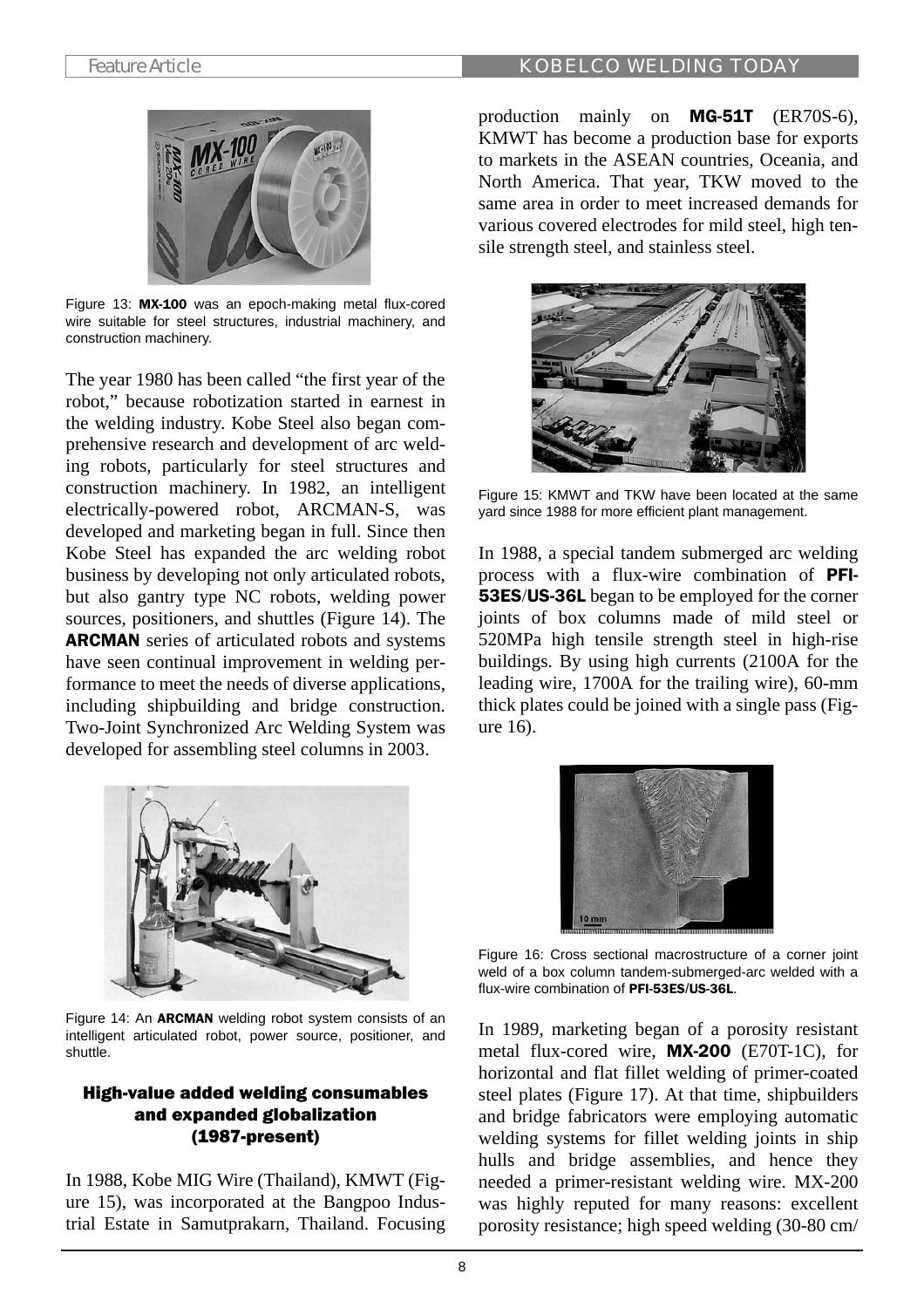

Figure 13: MX-100 was an epoch-making metal flux-cored wire suitable for steel structures, industrial machinery, and construction machinery.

The year 1980 has been called "the first year of the robot," because robotization started in earnest in the welding industry. Kobe Steel also began comprehensive research and development of arc welding robots, particularly for steel structures and construction machinery. In 1982, an intelligent electrically-powered robot, ARCMAN-S, was developed and marketing began in full. Since then Kobe Steel has expanded the arc welding robot business by developing not only articulated robots, but also gantry type NC robots, welding power sources, positioners, and shuttles (Figure 14). The ARCMAN series of articulated robots and systems have seen continual improvement in welding performance to meet the needs of diverse applications, including shipbuilding and bridge construction. Two-Joint Synchronized Arc Welding System was developed for assembling steel columns in 2003.



Figure 14: An ARCMAN welding robot system consists of an intelligent articulated robot, power source, positioner, and shuttle.

# High-value added welding consumables and expanded globalization (1987-present)

In 1988, Kobe MIG Wire (Thailand), KMWT (Figure 15), was incorporated at the Bangpoo Industrial Estate in Samutprakarn, Thailand. Focusing

production mainly on MG-51T (ER70S-6), KMWT has become a production base for exports to markets in the ASEAN countries, Oceania, and North America. That year, TKW moved to the same area in order to meet increased demands for various covered electrodes for mild steel, high tensile strength steel, and stainless steel.



Figure 15: KMWT and TKW have been located at the same yard since 1988 for more efficient plant management.

In 1988, a special tandem submerged arc welding process with a flux-wire combination of PFI-53ES/US-36L began to be employed for the corner joints of box columns made of mild steel or 520MPa high tensile strength steel in high-rise buildings. By using high currents (2100A for the leading wire, 1700A for the trailing wire), 60-mm thick plates could be joined with a single pass (Figure 16).



Figure 16: Cross sectional macrostructure of a corner joint weld of a box column tandem-submerged-arc welded with a flux-wire combination of PFI-53ES/US-36L.

In 1989, marketing began of a porosity resistant metal flux-cored wire, MX-200 (E70T-1C), for horizontal and flat fillet welding of primer-coated steel plates (Figure 17). At that time, shipbuilders and bridge fabricators were employing automatic welding systems for fillet welding joints in ship hulls and bridge assemblies, and hence they needed a primer-resistant welding wire. MX-200 was highly reputed for many reasons: excellent porosity resistance; high speed welding (30-80 cm/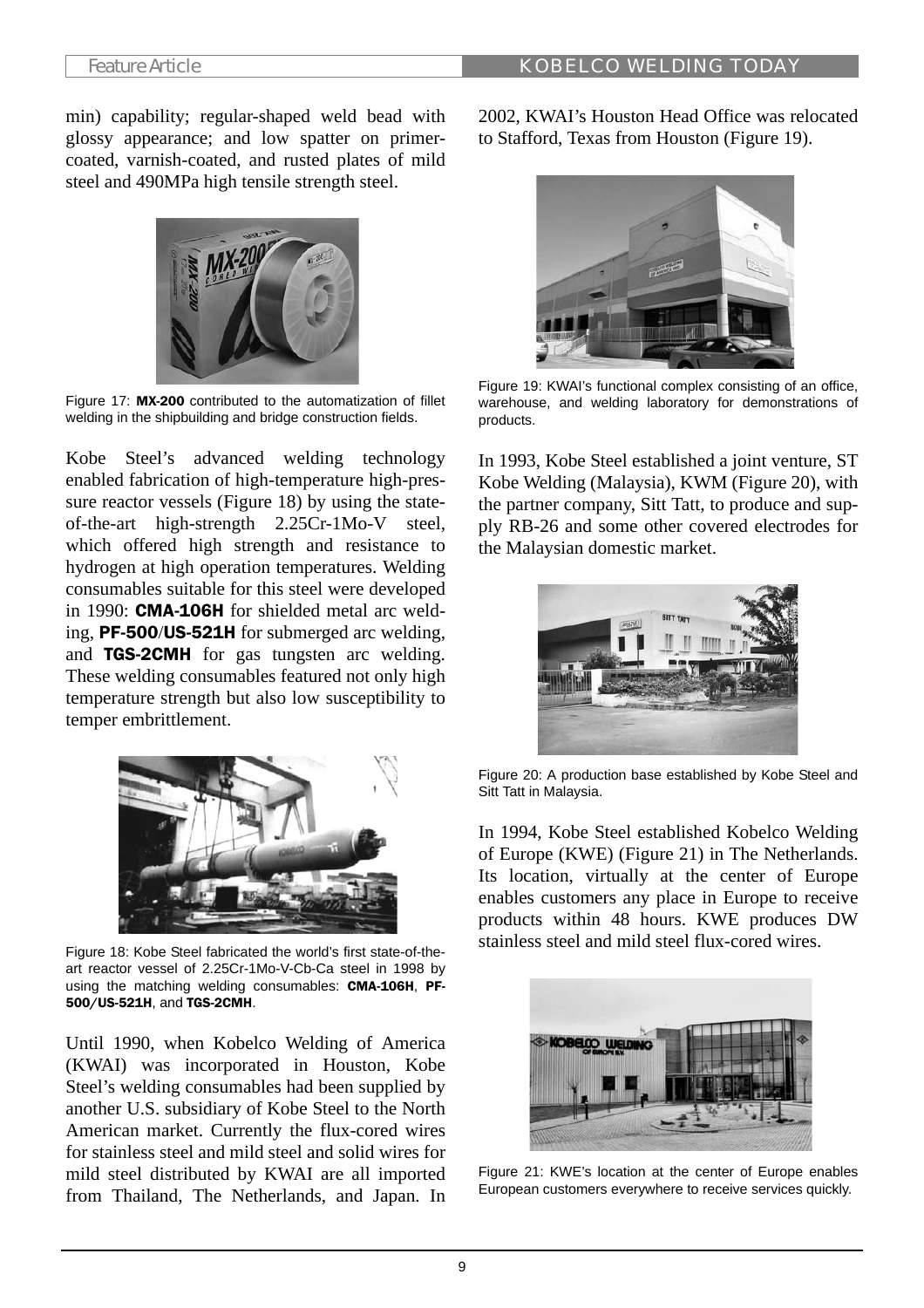min) capability; regular-shaped weld bead with glossy appearance; and low spatter on primercoated, varnish-coated, and rusted plates of mild steel and 490MPa high tensile strength steel.



Figure 17: MX-200 contributed to the automatization of fillet welding in the shipbuilding and bridge construction fields.

Kobe Steel's advanced welding technology enabled fabrication of high-temperature high-pressure reactor vessels (Figure 18) by using the stateof-the-art high-strength 2.25Cr-1Mo-V steel, which offered high strength and resistance to hydrogen at high operation temperatures. Welding consumables suitable for this steel were developed in 1990: CMA-106H for shielded metal arc welding, PF-500/US-521H for submerged arc welding, and TGS-2CMH for gas tungsten arc welding. These welding consumables featured not only high temperature strength but also low susceptibility to temper embrittlement.



Figure 18: Kobe Steel fabricated the world's first state-of-theart reactor vessel of 2.25Cr-1Mo-V-Cb-Ca steel in 1998 by using the matching welding consumables: CMA-106H, PF-500/US-521H, and TGS-2CMH.

Until 1990, when Kobelco Welding of America (KWAI) was incorporated in Houston, Kobe Steel's welding consumables had been supplied by another U.S. subsidiary of Kobe Steel to the North American market. Currently the flux-cored wires for stainless steel and mild steel and solid wires for mild steel distributed by KWAI are all imported from Thailand, The Netherlands, and Japan. In 2002, KWAI's Houston Head Office was relocated to Stafford, Texas from Houston (Figure 19).



Figure 19: KWAI's functional complex consisting of an office, warehouse, and welding laboratory for demonstrations of products.

In 1993, Kobe Steel established a joint venture, ST Kobe Welding (Malaysia), KWM (Figure 20), with the partner company, Sitt Tatt, to produce and supply RB-26 and some other covered electrodes for the Malaysian domestic market.



Figure 20: A production base established by Kobe Steel and Sitt Tatt in Malaysia.

In 1994, Kobe Steel established Kobelco Welding of Europe (KWE) (Figure 21) in The Netherlands. Its location, virtually at the center of Europe enables customers any place in Europe to receive products within 48 hours. KWE produces DW stainless steel and mild steel flux-cored wires.



Figure 21: KWE's location at the center of Europe enables European customers everywhere to receive services quickly.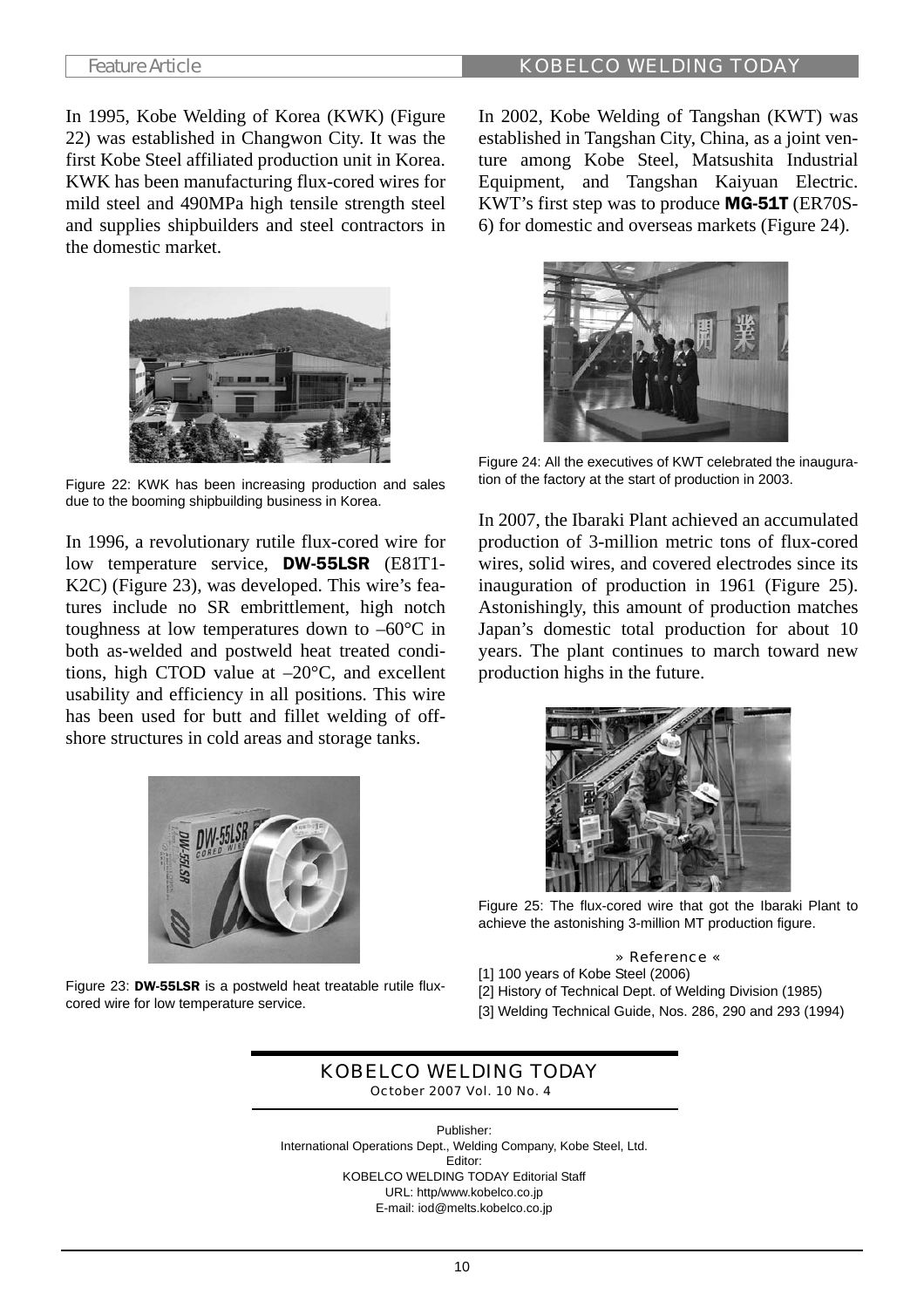In 1995, Kobe Welding of Korea (KWK) (Figure 22) was established in Changwon City. It was the first Kobe Steel affiliated production unit in Korea. KWK has been manufacturing flux-cored wires for mild steel and 490MPa high tensile strength steel and supplies shipbuilders and steel contractors in the domestic market.



Figure 22: KWK has been increasing production and sales due to the booming shipbuilding business in Korea.

In 1996, a revolutionary rutile flux-cored wire for low temperature service, DW-55LSR (E81T1- K2C) (Figure 23), was developed. This wire's features include no SR embrittlement, high notch toughness at low temperatures down to  $-60^{\circ}\text{C}$  in both as-welded and postweld heat treated conditions, high CTOD value at –20°C, and excellent usability and efficiency in all positions. This wire has been used for butt and fillet welding of offshore structures in cold areas and storage tanks.



Figure 23: DW-55LSR is a postweld heat treatable rutile fluxcored wire for low temperature service.

In 2002, Kobe Welding of Tangshan (KWT) was established in Tangshan City, China, as a joint venture among Kobe Steel, Matsushita Industrial Equipment, and Tangshan Kaiyuan Electric. KWT's first step was to produce MG-51T (ER70S-6) for domestic and overseas markets (Figure 24).



Figure 24: All the executives of KWT celebrated the inauguration of the factory at the start of production in 2003.

In 2007, the Ibaraki Plant achieved an accumulated production of 3-million metric tons of flux-cored wires, solid wires, and covered electrodes since its inauguration of production in 1961 (Figure 25). Astonishingly, this amount of production matches Japan's domestic total production for about 10 years. The plant continues to march toward new production highs in the future.



Figure 25: The flux-cored wire that got the Ibaraki Plant to achieve the astonishing 3-million MT production figure.

## » Reference «

[1] 100 years of Kobe Steel (2006) [2] History of Technical Dept. of Welding Division (1985) [3] Welding Technical Guide, Nos. 286, 290 and 293 (1994)

## KOBELCO WELDING TODAY October 2007 Vol. 10 No. 4

Publisher: International Operations Dept., Welding Company, Kobe Steel, Ltd. Editor: KOBELCO WELDING TODAY Editorial Staff URL: http/www.kobelco.co.jp E-mail: iod@melts.kobelco.co.jp